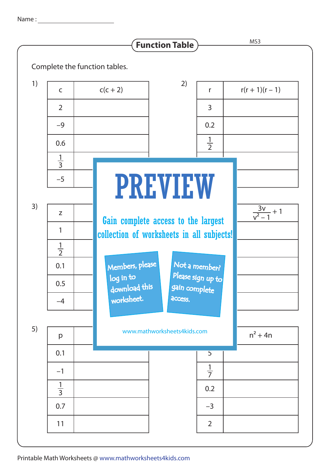